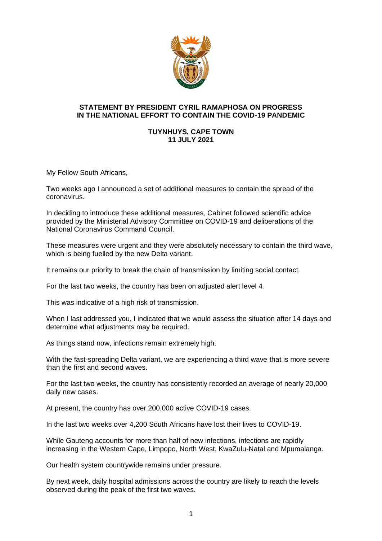

## **STATEMENT BY PRESIDENT CYRIL RAMAPHOSA ON PROGRESS IN THE NATIONAL EFFORT TO CONTAIN THE COVID-19 PANDEMIC**

## **TUYNHUYS, CAPE TOWN 11 JULY 2021**

My Fellow South Africans,

Two weeks ago I announced a set of additional measures to contain the spread of the coronavirus.

In deciding to introduce these additional measures, Cabinet followed scientific advice provided by the Ministerial Advisory Committee on COVID-19 and deliberations of the National Coronavirus Command Council.

These measures were urgent and they were absolutely necessary to contain the third wave, which is being fuelled by the new Delta variant.

It remains our priority to break the chain of transmission by limiting social contact.

For the last two weeks, the country has been on adjusted alert level 4.

This was indicative of a high risk of transmission.

When I last addressed you, I indicated that we would assess the situation after 14 days and determine what adjustments may be required.

As things stand now, infections remain extremely high.

With the fast-spreading Delta variant, we are experiencing a third wave that is more severe than the first and second waves.

For the last two weeks, the country has consistently recorded an average of nearly 20,000 daily new cases.

At present, the country has over 200,000 active COVID-19 cases.

In the last two weeks over 4,200 South Africans have lost their lives to COVID-19.

While Gauteng accounts for more than half of new infections, infections are rapidly increasing in the Western Cape, Limpopo, North West, KwaZulu-Natal and Mpumalanga.

Our health system countrywide remains under pressure.

By next week, daily hospital admissions across the country are likely to reach the levels observed during the peak of the first two waves.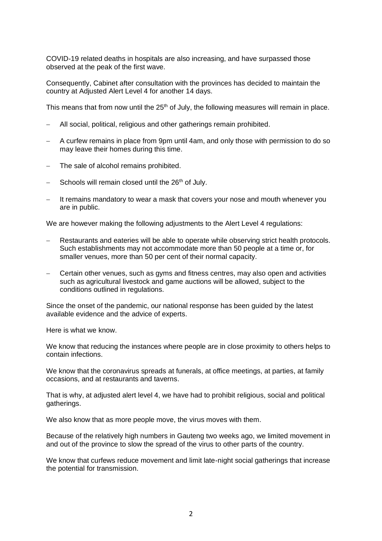COVID-19 related deaths in hospitals are also increasing, and have surpassed those observed at the peak of the first wave.

Consequently, Cabinet after consultation with the provinces has decided to maintain the country at Adjusted Alert Level 4 for another 14 days.

This means that from now until the 25<sup>th</sup> of July, the following measures will remain in place.

- − All social, political, religious and other gatherings remain prohibited.
- − A curfew remains in place from 9pm until 4am, and only those with permission to do so may leave their homes during this time.
- The sale of alcohol remains prohibited.
- Schools will remain closed until the 26<sup>th</sup> of July.
- − It remains mandatory to wear a mask that covers your nose and mouth whenever you are in public.

We are however making the following adjustments to the Alert Level 4 regulations:

- Restaurants and eateries will be able to operate while observing strict health protocols. Such establishments may not accommodate more than 50 people at a time or, for smaller venues, more than 50 per cent of their normal capacity.
- Certain other venues, such as gyms and fitness centres, may also open and activities such as agricultural livestock and game auctions will be allowed, subject to the conditions outlined in regulations.

Since the onset of the pandemic, our national response has been guided by the latest available evidence and the advice of experts.

Here is what we know.

We know that reducing the instances where people are in close proximity to others helps to contain infections.

We know that the coronavirus spreads at funerals, at office meetings, at parties, at family occasions, and at restaurants and taverns.

That is why, at adjusted alert level 4, we have had to prohibit religious, social and political gatherings.

We also know that as more people move, the virus moves with them.

Because of the relatively high numbers in Gauteng two weeks ago, we limited movement in and out of the province to slow the spread of the virus to other parts of the country.

We know that curfews reduce movement and limit late-night social gatherings that increase the potential for transmission.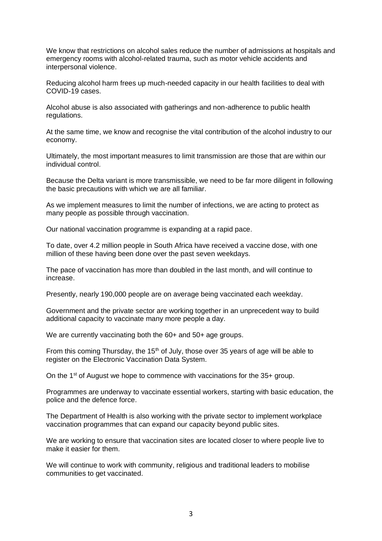We know that restrictions on alcohol sales reduce the number of admissions at hospitals and emergency rooms with alcohol-related trauma, such as motor vehicle accidents and interpersonal violence.

Reducing alcohol harm frees up much-needed capacity in our health facilities to deal with COVID-19 cases.

Alcohol abuse is also associated with gatherings and non-adherence to public health regulations.

At the same time, we know and recognise the vital contribution of the alcohol industry to our economy.

Ultimately, the most important measures to limit transmission are those that are within our individual control.

Because the Delta variant is more transmissible, we need to be far more diligent in following the basic precautions with which we are all familiar.

As we implement measures to limit the number of infections, we are acting to protect as many people as possible through vaccination.

Our national vaccination programme is expanding at a rapid pace.

To date, over 4.2 million people in South Africa have received a vaccine dose, with one million of these having been done over the past seven weekdays.

The pace of vaccination has more than doubled in the last month, and will continue to increase.

Presently, nearly 190,000 people are on average being vaccinated each weekday.

Government and the private sector are working together in an unprecedent way to build additional capacity to vaccinate many more people a day.

We are currently vaccinating both the 60+ and 50+ age groups.

From this coming Thursday, the 15<sup>th</sup> of July, those over 35 years of age will be able to register on the Electronic Vaccination Data System.

On the 1<sup>st</sup> of August we hope to commence with vaccinations for the 35+ group.

Programmes are underway to vaccinate essential workers, starting with basic education, the police and the defence force.

The Department of Health is also working with the private sector to implement workplace vaccination programmes that can expand our capacity beyond public sites.

We are working to ensure that vaccination sites are located closer to where people live to make it easier for them.

We will continue to work with community, religious and traditional leaders to mobilise communities to get vaccinated.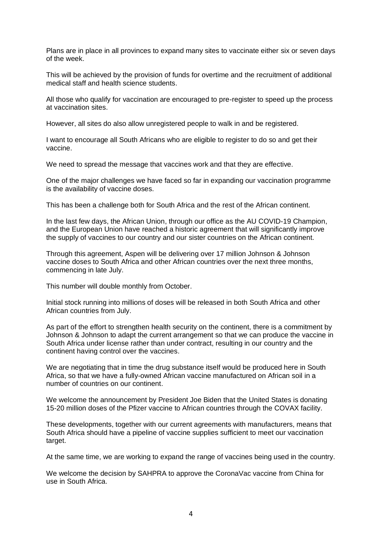Plans are in place in all provinces to expand many sites to vaccinate either six or seven days of the week.

This will be achieved by the provision of funds for overtime and the recruitment of additional medical staff and health science students.

All those who qualify for vaccination are encouraged to pre-register to speed up the process at vaccination sites.

However, all sites do also allow unregistered people to walk in and be registered.

I want to encourage all South Africans who are eligible to register to do so and get their vaccine.

We need to spread the message that vaccines work and that they are effective.

One of the major challenges we have faced so far in expanding our vaccination programme is the availability of vaccine doses.

This has been a challenge both for South Africa and the rest of the African continent.

In the last few days, the African Union, through our office as the AU COVID-19 Champion, and the European Union have reached a historic agreement that will significantly improve the supply of vaccines to our country and our sister countries on the African continent.

Through this agreement, Aspen will be delivering over 17 million Johnson & Johnson vaccine doses to South Africa and other African countries over the next three months, commencing in late July.

This number will double monthly from October.

Initial stock running into millions of doses will be released in both South Africa and other African countries from July.

As part of the effort to strengthen health security on the continent, there is a commitment by Johnson & Johnson to adapt the current arrangement so that we can produce the vaccine in South Africa under license rather than under contract, resulting in our country and the continent having control over the vaccines.

We are negotiating that in time the drug substance itself would be produced here in South Africa, so that we have a fully-owned African vaccine manufactured on African soil in a number of countries on our continent.

We welcome the announcement by President Joe Biden that the United States is donating 15-20 million doses of the Pfizer vaccine to African countries through the COVAX facility.

These developments, together with our current agreements with manufacturers, means that South Africa should have a pipeline of vaccine supplies sufficient to meet our vaccination target.

At the same time, we are working to expand the range of vaccines being used in the country.

We welcome the decision by SAHPRA to approve the CoronaVac vaccine from China for use in South Africa.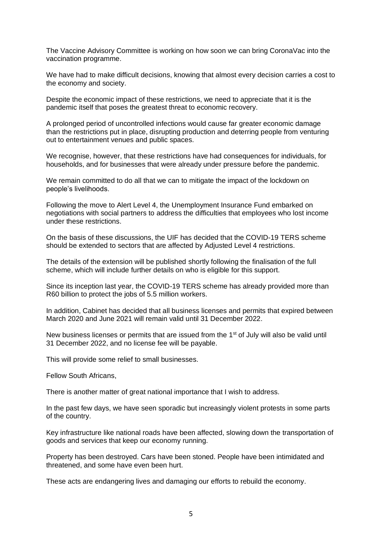The Vaccine Advisory Committee is working on how soon we can bring CoronaVac into the vaccination programme.

We have had to make difficult decisions, knowing that almost every decision carries a cost to the economy and society.

Despite the economic impact of these restrictions, we need to appreciate that it is the pandemic itself that poses the greatest threat to economic recovery.

A prolonged period of uncontrolled infections would cause far greater economic damage than the restrictions put in place, disrupting production and deterring people from venturing out to entertainment venues and public spaces.

We recognise, however, that these restrictions have had consequences for individuals, for households, and for businesses that were already under pressure before the pandemic.

We remain committed to do all that we can to mitigate the impact of the lockdown on people's livelihoods.

Following the move to Alert Level 4, the Unemployment Insurance Fund embarked on negotiations with social partners to address the difficulties that employees who lost income under these restrictions.

On the basis of these discussions, the UIF has decided that the COVID-19 TERS scheme should be extended to sectors that are affected by Adjusted Level 4 restrictions.

The details of the extension will be published shortly following the finalisation of the full scheme, which will include further details on who is eligible for this support.

Since its inception last year, the COVID-19 TERS scheme has already provided more than R60 billion to protect the jobs of 5.5 million workers.

In addition, Cabinet has decided that all business licenses and permits that expired between March 2020 and June 2021 will remain valid until 31 December 2022.

New business licenses or permits that are issued from the 1<sup>st</sup> of July will also be valid until 31 December 2022, and no license fee will be payable.

This will provide some relief to small businesses.

Fellow South Africans,

There is another matter of great national importance that I wish to address.

In the past few days, we have seen sporadic but increasingly violent protests in some parts of the country.

Key infrastructure like national roads have been affected, slowing down the transportation of goods and services that keep our economy running.

Property has been destroyed. Cars have been stoned. People have been intimidated and threatened, and some have even been hurt.

These acts are endangering lives and damaging our efforts to rebuild the economy.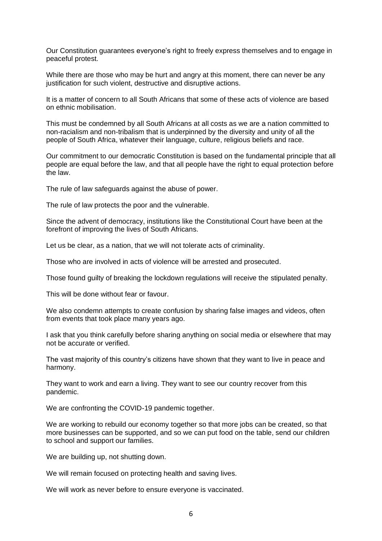Our Constitution guarantees everyone's right to freely express themselves and to engage in peaceful protest.

While there are those who may be hurt and angry at this moment, there can never be any justification for such violent, destructive and disruptive actions.

It is a matter of concern to all South Africans that some of these acts of violence are based on ethnic mobilisation.

This must be condemned by all South Africans at all costs as we are a nation committed to non-racialism and non-tribalism that is underpinned by the diversity and unity of all the people of South Africa, whatever their language, culture, religious beliefs and race.

Our commitment to our democratic Constitution is based on the fundamental principle that all people are equal before the law, and that all people have the right to equal protection before the law.

The rule of law safeguards against the abuse of power.

The rule of law protects the poor and the vulnerable.

Since the advent of democracy, institutions like the Constitutional Court have been at the forefront of improving the lives of South Africans.

Let us be clear, as a nation, that we will not tolerate acts of criminality.

Those who are involved in acts of violence will be arrested and prosecuted.

Those found guilty of breaking the lockdown regulations will receive the stipulated penalty.

This will be done without fear or favour.

We also condemn attempts to create confusion by sharing false images and videos, often from events that took place many years ago.

I ask that you think carefully before sharing anything on social media or elsewhere that may not be accurate or verified.

The vast majority of this country's citizens have shown that they want to live in peace and harmony.

They want to work and earn a living. They want to see our country recover from this pandemic.

We are confronting the COVID-19 pandemic together.

We are working to rebuild our economy together so that more jobs can be created, so that more businesses can be supported, and so we can put food on the table, send our children to school and support our families.

We are building up, not shutting down.

We will remain focused on protecting health and saving lives.

We will work as never before to ensure everyone is vaccinated.